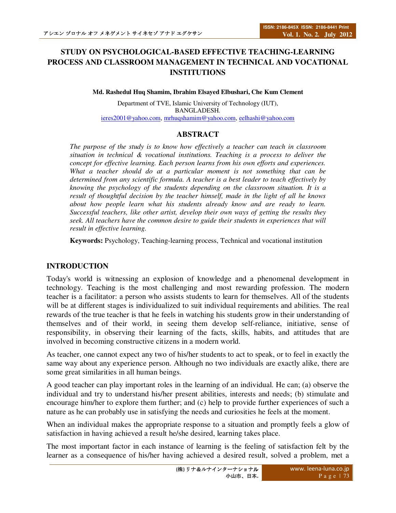# **STUDY ON PSYCHOLOGICAL-BASED EFFECTIVE TEACHING-LEARNING PROCESS AND CLASSROOM MANAGEMENT IN TECHNICAL AND VOCATIONAL INSTITUTIONS**

**Md. Rashedul Huq Shamim, Ibrahim Elsayed Elbushari, Che Kum Clement** 

Department of TVE, Islamic University of Technology (IUT), BANGLADESH. ieres2001@yahoo.com, mrhuqshamim@yahoo.com, eelhashi@yahoo.com

## **ABSTRACT**

*The purpose of the study is to know how effectively a teacher can teach in classroom situation in technical & vocational institutions. Teaching is a process to deliver the concept for effective learning. Each person learns from his own efforts and experiences. What a teacher should do at a particular moment is not something that can be determined from any scientific formula. A teacher is a best leader to teach effectively by knowing the psychology of the students depending on the classroom situation. It is a result of thoughtful decision by the teacher himself, made in the light of all he knows about how people learn what his students already know and are ready to learn. Successful teachers, like other artist, develop their own ways of getting the results they seek. All teachers have the common desire to guide their students in experiences that will result in effective learning.* 

**Keywords:** Psychology, Teaching-learning process, Technical and vocational institution

# **INTRODUCTION**

Today's world is witnessing an explosion of knowledge and a phenomenal development in technology. Teaching is the most challenging and most rewarding profession. The modern teacher is a facilitator: a person who assists students to learn for themselves. All of the students will be at different stages is individualized to suit individual requirements and abilities. The real rewards of the true teacher is that he feels in watching his students grow in their understanding of themselves and of their world, in seeing them develop self-reliance, initiative, sense of responsibility, in observing their learning of the facts, skills, habits, and attitudes that are involved in becoming constructive citizens in a modern world.

As teacher, one cannot expect any two of his/her students to act to speak, or to feel in exactly the same way about any experience person. Although no two individuals are exactly alike, there are some great similarities in all human beings.

A good teacher can play important roles in the learning of an individual. He can; (a) observe the individual and try to understand his/her present abilities, interests and needs; (b) stimulate and encourage him/her to explore them further; and (c) help to provide further experiences of such a nature as he can probably use in satisfying the needs and curiosities he feels at the moment.

When an individual makes the appropriate response to a situation and promptly feels a glow of satisfaction in having achieved a result he/she desired, learning takes place.

The most important factor in each instance of learning is the feeling of satisfaction felt by the learner as a consequence of his/her having achieved a desired result, solved a problem, met a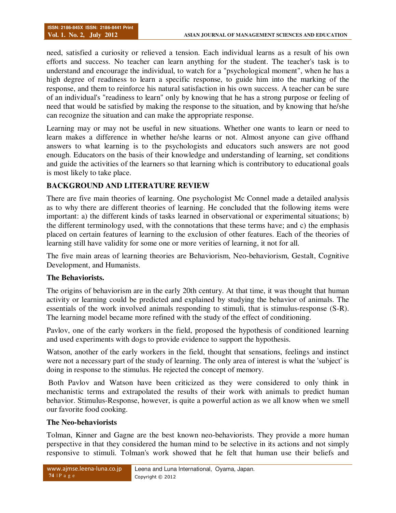need, satisfied a curiosity or relieved a tension. Each individual learns as a result of his own efforts and success. No teacher can learn anything for the student. The teacher's task is to understand and encourage the individual, to watch for a "psychological moment", when he has a high degree of readiness to learn a specific response, to guide him into the marking of the response, and them to reinforce his natural satisfaction in his own success. A teacher can be sure of an individual's "readiness to learn" only by knowing that he has a strong purpose or feeling of need that would be satisfied by making the response to the situation, and by knowing that he/she can recognize the situation and can make the appropriate response.

Learning may or may not be useful in new situations. Whether one wants to learn or need to learn makes a difference in whether he/she learns or not. Almost anyone can give offhand answers to what learning is to the psychologists and educators such answers are not good enough. Educators on the basis of their knowledge and understanding of learning, set conditions and guide the activities of the learners so that learning which is contributory to educational goals is most likely to take place.

# **BACKGROUND AND LITERATURE REVIEW**

There are five main theories of learning. One psychologist Mc Connel made a detailed analysis as to why there are different theories of learning. He concluded that the following items were important: a) the different kinds of tasks learned in observational or experimental situations; b) the different terminology used, with the connotations that these terms have; and c) the emphasis placed on certain features of learning to the exclusion of other features. Each of the theories of learning still have validity for some one or more verities of learning, it not for all.

The five main areas of learning theories are Behaviorism, Neo-behaviorism, Gestalt, Cognitive Development, and Humanists.

# **The Behaviorists.**

The origins of behaviorism are in the early 20th century. At that time, it was thought that human activity or learning could be predicted and explained by studying the behavior of animals. The essentials of the work involved animals responding to stimuli, that is stimulus-response (S-R). The learning model became more refined with the study of the effect of conditioning.

Pavlov, one of the early workers in the field, proposed the hypothesis of conditioned learning and used experiments with dogs to provide evidence to support the hypothesis.

Watson, another of the early workers in the field, thought that sensations, feelings and instinct were not a necessary part of the study of learning. The only area of interest is what the 'subject' is doing in response to the stimulus. He rejected the concept of memory.

 Both Pavlov and Watson have been criticized as they were considered to only think in mechanistic terms and extrapolated the results of their work with animals to predict human behavior. Stimulus-Response, however, is quite a powerful action as we all know when we smell our favorite food cooking.

### **The Neo-behaviorists**

Tolman, Kinner and Gagne are the best known neo-behaviorists. They provide a more human perspective in that they considered the human mind to be selective in its actions and not simply responsive to stimuli. Tolman's work showed that he felt that human use their beliefs and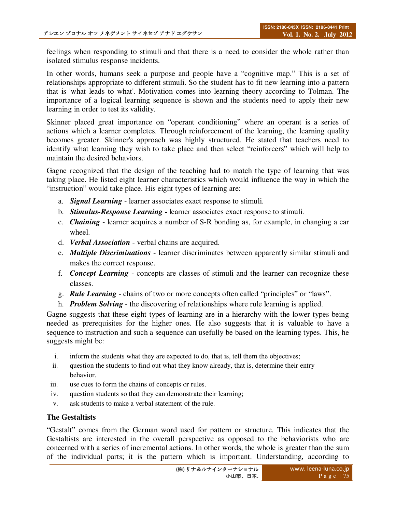feelings when responding to stimuli and that there is a need to consider the whole rather than isolated stimulus response incidents.

In other words, humans seek a purpose and people have a "cognitive map." This is a set of relationships appropriate to different stimuli. So the student has to fit new learning into a pattern that is 'what leads to what'. Motivation comes into learning theory according to Tolman. The importance of a logical learning sequence is shown and the students need to apply their new learning in order to test its validity.

Skinner placed great importance on "operant conditioning" where an operant is a series of actions which a learner completes. Through reinforcement of the learning, the learning quality becomes greater. Skinner's approach was highly structured. He stated that teachers need to identify what learning they wish to take place and then select "reinforcers" which will help to maintain the desired behaviors.

Gagne recognized that the design of the teaching had to match the type of learning that was taking place. He listed eight learner characteristics which would influence the way in which the "instruction" would take place. His eight types of learning are:

- a. *Signal Learning*  learner associates exact response to stimuli.
- b. *Stimulus-Response Learning* learner associates exact response to stimuli.
- c. *Chaining* learner acquires a number of S-R bonding as, for example, in changing a car wheel.
- d. *Verbal Association* verbal chains are acquired.
- e. *Multiple Discriminations* learner discriminates between apparently similar stimuli and makes the correct response.
- f. *Concept Learning* concepts are classes of stimuli and the learner can recognize these classes.
- g. *Rule Learning* chains of two or more concepts often called "principles" or "laws".
- h. *Problem Solving* the discovering of relationships where rule learning is applied.

Gagne suggests that these eight types of learning are in a hierarchy with the lower types being needed as prerequisites for the higher ones. He also suggests that it is valuable to have a sequence to instruction and such a sequence can usefully be based on the learning types. This, he suggests might be:

- i. inform the students what they are expected to do, that is, tell them the objectives;
- ii. question the students to find out what they know already, that is, determine their entry behavior.
- iii. use cues to form the chains of concepts or rules.
- iv. question students so that they can demonstrate their learning;
- v. ask students to make a verbal statement of the rule.

# **The Gestaltists**

"Gestalt" comes from the German word used for pattern or structure. This indicates that the Gestaltists are interested in the overall perspective as opposed to the behaviorists who are concerned with a series of incremental actions. In other words, the whole is greater than the sum of the individual parts; it is the pattern which is important. Understanding, according to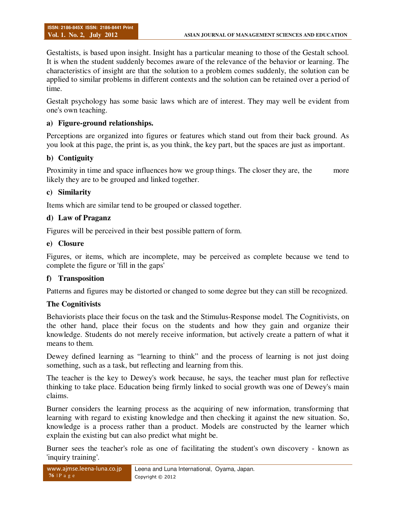Gestaltists, is based upon insight. Insight has a particular meaning to those of the Gestalt school. It is when the student suddenly becomes aware of the relevance of the behavior or learning. The characteristics of insight are that the solution to a problem comes suddenly, the solution can be applied to similar problems in different contexts and the solution can be retained over a period of time.

Gestalt psychology has some basic laws which are of interest. They may well be evident from one's own teaching.

### **a) Figure-ground relationships.**

Perceptions are organized into figures or features which stand out from their back ground. As you look at this page, the print is, as you think, the key part, but the spaces are just as important.

### **b) Contiguity**

Proximity in time and space influences how we group things. The closer they are, the more likely they are to be grouped and linked together.

#### **c) Similarity**

Items which are similar tend to be grouped or classed together.

#### **d) Law of Praganz**

Figures will be perceived in their best possible pattern of form.

#### **e) Closure**

Figures, or items, which are incomplete, may be perceived as complete because we tend to complete the figure or 'fill in the gaps'

### **f) Transposition**

Patterns and figures may be distorted or changed to some degree but they can still be recognized.

### **The Cognitivists**

Behaviorists place their focus on the task and the Stimulus-Response model. The Cognitivists, on the other hand, place their focus on the students and how they gain and organize their knowledge. Students do not merely receive information, but actively create a pattern of what it means to them.

Dewey defined learning as "learning to think" and the process of learning is not just doing something, such as a task, but reflecting and learning from this.

The teacher is the key to Dewey's work because, he says, the teacher must plan for reflective thinking to take place. Education being firmly linked to social growth was one of Dewey's main claims.

Burner considers the learning process as the acquiring of new information, transforming that learning with regard to existing knowledge and then checking it against the new situation. So, knowledge is a process rather than a product. Models are constructed by the learner which explain the existing but can also predict what might be.

Burner sees the teacher's role as one of facilitating the student's own discovery - known as 'inquiry training'.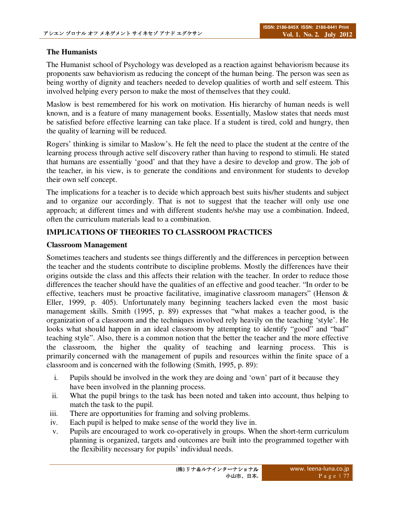### **The Humanists**

The Humanist school of Psychology was developed as a reaction against behaviorism because its proponents saw behaviorism as reducing the concept of the human being. The person was seen as being worthy of dignity and teachers needed to develop qualities of worth and self esteem. This involved helping every person to make the most of themselves that they could.

Maslow is best remembered for his work on motivation. His hierarchy of human needs is well known, and is a feature of many management books. Essentially, Maslow states that needs must be satisfied before effective learning can take place. If a student is tired, cold and hungry, then the quality of learning will be reduced.

Rogers' thinking is similar to Maslow's. He felt the need to place the student at the centre of the learning process through active self discovery rather than having to respond to stimuli. He stated that humans are essentially 'good' and that they have a desire to develop and grow. The job of the teacher, in his view, is to generate the conditions and environment for students to develop their own self concept.

The implications for a teacher is to decide which approach best suits his/her students and subject and to organize our accordingly. That is not to suggest that the teacher will only use one approach; at different times and with different students he/she may use a combination. Indeed, often the curriculum materials lead to a combination.

## **IMPLICATIONS OF THEORIES TO CLASSROOM PRACTICES**

### **Classroom Management**

Sometimes teachers and students see things differently and the differences in perception between the teacher and the students contribute to discipline problems. Mostly the differences have their origins outside the class and this affects their relation with the teacher. In order to reduce those differences the teacher should have the qualities of an effective and good teacher. "In order to be effective, teachers must be proactive facilitative, imaginative classroom managers" (Henson  $\&$ Eller, 1999, p. 405). Unfortunately many beginning teachers lacked even the most basic management skills. Smith (1995, p. 89) expresses that "what makes a teacher good, is the organization of a classroom and the techniques involved rely heavily on the teaching 'style'. He looks what should happen in an ideal classroom by attempting to identify "good" and "bad" teaching style". Also, there is a common notion that the better the teacher and the more effective the classroom, the higher the quality of teaching and learning process. This is primarily concerned with the management of pupils and resources within the finite space of a classroom and is concerned with the following (Smith, 1995, p. 89):

- i. Pupils should be involved in the work they are doing and 'own' part of it because they have been involved in the planning process.
- ii. What the pupil brings to the task has been noted and taken into account, thus helping to match the task to the pupil.
- iii. There are opportunities for framing and solving problems.
- iv. Each pupil is helped to make sense of the world they live in.
- v. Pupils are encouraged to work co-operatively in groups. When the short-term curriculum planning is organized, targets and outcomes are built into the programmed together with the flexibility necessary for pupils' individual needs.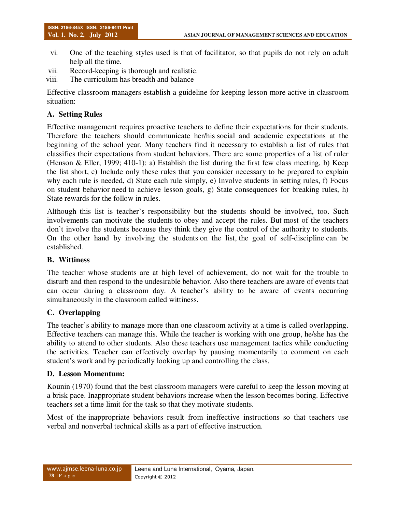- vi. One of the teaching styles used is that of facilitator, so that pupils do not rely on adult help all the time.
- vii. Record-keeping is thorough and realistic.
- viii. The curriculum has breadth and balance

Effective classroom managers establish a guideline for keeping lesson more active in classroom situation:

### **A. Setting Rules**

Effective management requires proactive teachers to define their expectations for their students. Therefore the teachers should communicate her/his social and academic expectations at the beginning of the school year. Many teachers find it necessary to establish a list of rules that classifies their expectations from student behaviors. There are some properties of a list of ruler (Henson & Eller, 1999; 410-1): a) Establish the list during the first few class meeting, b) Keep the list short, c) Include only these rules that you consider necessary to be prepared to explain why each rule is needed, d) State each rule simply, e) Involve students in setting rules, f) Focus on student behavior need to achieve lesson goals, g) State consequences for breaking rules, h) State rewards for the follow in rules.

Although this list is teacher's responsibility but the students should be involved, too. Such involvements can motivate the students to obey and accept the rules. But most of the teachers don't involve the students because they think they give the control of the authority to students. On the other hand by involving the students on the list, the goal of self-discipline can be established.

### **B. Wittiness**

The teacher whose students are at high level of achievement, do not wait for the trouble to disturb and then respond to the undesirable behavior. Also there teachers are aware of events that can occur during a classroom day. A teacher's ability to be aware of events occurring simultaneously in the classroom called wittiness.

### **C. Overlapping**

The teacher's ability to manage more than one classroom activity at a time is called overlapping. Effective teachers can manage this. While the teacher is working with one group, he/she has the ability to attend to other students. Also these teachers use management tactics while conducting the activities. Teacher can effectively overlap by pausing momentarily to comment on each student's work and by periodically looking up and controlling the class.

### **D. Lesson Momentum:**

Kounin (1970) found that the best classroom managers were careful to keep the lesson moving at a brisk pace. Inappropriate student behaviors increase when the lesson becomes boring. Effective teachers set a time limit for the task so that they motivate students.

Most of the inappropriate behaviors result from ineffective instructions so that teachers use verbal and nonverbal technical skills as a part of effective instruction.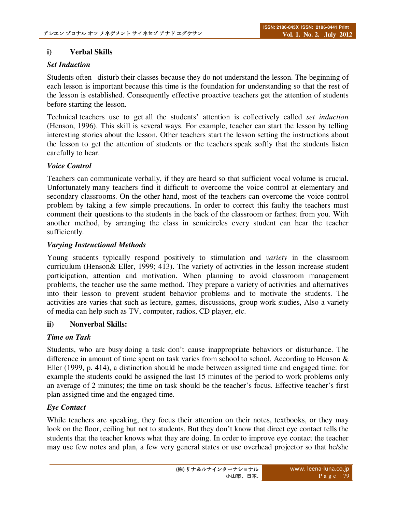### **i) Verbal Skills**

## *Set Induction*

Students often disturb their classes because they do not understand the lesson. The beginning of each lesson is important because this time is the foundation for understanding so that the rest of the lesson is established. Consequently effective proactive teachers get the attention of students before starting the lesson.

Technical teachers use to get all the students' attention is collectively called *set induction*  (Henson, 1996). This skill is several ways. For example, teacher can start the lesson by telling interesting stories about the lesson. Other teachers start the lesson setting the instructions about the lesson to get the attention of students or the teachers speak softly that the students listen carefully to hear.

### *Voice Control*

Teachers can communicate verbally, if they are heard so that sufficient vocal volume is crucial. Unfortunately many teachers find it difficult to overcome the voice control at elementary and secondary classrooms. On the other hand, most of the teachers can overcome the voice control problem by taking a few simple precautions. In order to correct this faulty the teachers must comment their questions to the students in the back of the classroom or farthest from you. With another method, by arranging the class in semicircles every student can hear the teacher sufficiently.

### *Varying Instructional Methods*

Young students typically respond positively to stimulation and *variety* in the classroom curriculum (Henson& Eller, 1999; 413). The variety of activities in the lesson increase student participation, attention and motivation. When planning to avoid classroom management problems, the teacher use the same method. They prepare a variety of activities and alternatives into their lesson to prevent student behavior problems and to motivate the students. The activities are varies that such as lecture, games, discussions, group work studies, Also a variety of media can help such as TV, computer, radios, CD player, etc.

### **ii) Nonverbal Skills:**

### *Time on Task*

Students, who are busy doing a task don't cause inappropriate behaviors or disturbance. The difference in amount of time spent on task varies from school to school. According to Henson & Eller (1999, p. 414), a distinction should be made between assigned time and engaged time: for example the students could be assigned the last 15 minutes of the period to work problems only an average of 2 minutes; the time on task should be the teacher's focus. Effective teacher's first plan assigned time and the engaged time.

### *Eye Contact*

While teachers are speaking, they focus their attention on their notes, textbooks, or they may look on the floor, ceiling but not to students. But they don't know that direct eye contact tells the students that the teacher knows what they are doing. In order to improve eye contact the teacher may use few notes and plan, a few very general states or use overhead projector so that he/she